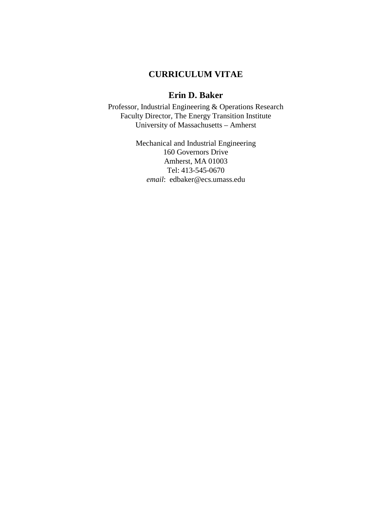# **CURRICULUM VITAE**

# **Erin D. Baker**

Professor, Industrial Engineering & Operations Research Faculty Director, The Energy Transition Institute University of Massachusetts – Amherst

> Mechanical and Industrial Engineering 160 Governors Drive Amherst, MA 01003 Tel: 413-545-0670 *email*: edbaker@ecs.umass.edu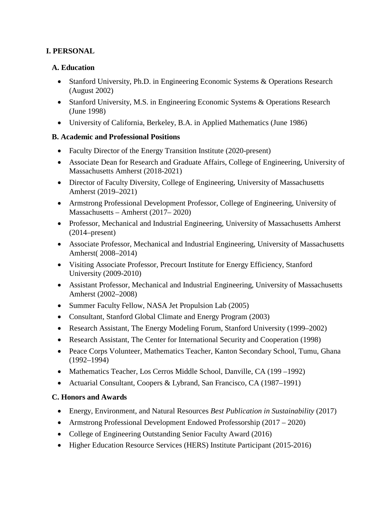### **I. PERSONAL**

### **A. Education**

- Stanford University, Ph.D. in Engineering Economic Systems & Operations Research (August 2002)
- Stanford University, M.S. in Engineering Economic Systems & Operations Research (June 1998)
- University of California, Berkeley, B.A. in Applied Mathematics (June 1986)

### **B. Academic and Professional Positions**

- Faculty Director of the Energy Transition Institute (2020-present)
- Associate Dean for Research and Graduate Affairs, College of Engineering, University of Massachusetts Amherst (2018-2021)
- Director of Faculty Diversity, College of Engineering, University of Massachusetts Amherst (2019–2021)
- Armstrong Professional Development Professor, College of Engineering, University of Massachusetts – Amherst (2017– 2020)
- Professor, Mechanical and Industrial Engineering, University of Massachusetts Amherst (2014–present)
- Associate Professor, Mechanical and Industrial Engineering, University of Massachusetts Amherst( 2008–2014)
- Visiting Associate Professor, Precourt Institute for Energy Efficiency, Stanford University (2009-2010)
- Assistant Professor, Mechanical and Industrial Engineering, University of Massachusetts Amherst (2002–2008)
- Summer Faculty Fellow, NASA Jet Propulsion Lab (2005)
- Consultant, Stanford Global Climate and Energy Program (2003)
- Research Assistant, The Energy Modeling Forum, Stanford University (1999–2002)
- Research Assistant, The Center for International Security and Cooperation (1998)
- Peace Corps Volunteer, Mathematics Teacher, Kanton Secondary School, Tumu, Ghana (1992–1994)
- Mathematics Teacher, Los Cerros Middle School, Danville, CA (199–1992)
- Actuarial Consultant, Coopers & Lybrand, San Francisco, CA (1987–1991)

# **C. Honors and Awards**

- Energy, Environment, and Natural Resources *Best Publication in Sustainability* (2017)
- Armstrong Professional Development Endowed Professorship (2017 2020)
- College of Engineering Outstanding Senior Faculty Award (2016)
- Higher Education Resource Services (HERS) Institute Participant (2015-2016)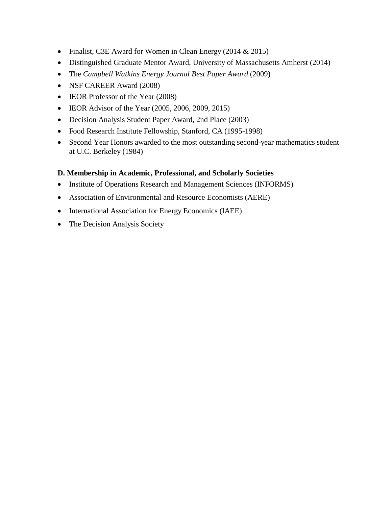- Finalist, C3E Award for Women in Clean Energy (2014 & 2015)
- Distinguished Graduate Mentor Award, University of Massachusetts Amherst (2014)
- The *Campbell Watkins Energy Journal Best Paper Award* (2009)
- NSF CAREER Award (2008)
- IEOR Professor of the Year (2008)
- IEOR Advisor of the Year (2005, 2006, 2009, 2015)
- Decision Analysis Student Paper Award, 2nd Place (2003)
- Food Research Institute Fellowship, Stanford, CA (1995-1998)
- Second Year Honors awarded to the most outstanding second-year mathematics student at U.C. Berkeley (1984)

#### **D. Membership in Academic, Professional, and Scholarly Societies**

- Institute of Operations Research and Management Sciences (INFORMS)
- Association of Environmental and Resource Economists (AERE)
- International Association for Energy Economics (IAEE)
- The Decision Analysis Society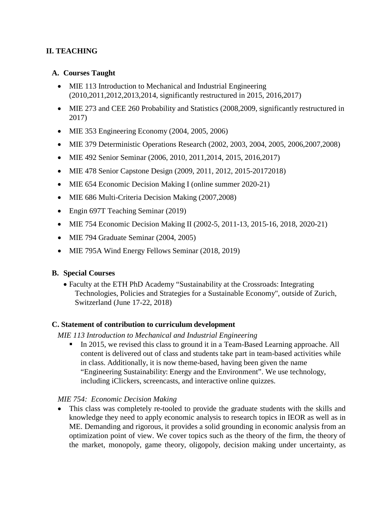# **II. TEACHING**

#### **A. Courses Taught**

- MIE 113 Introduction to Mechanical and Industrial Engineering (2010,2011,2012,2013,2014, significantly restructured in 2015, 2016,2017)
- MIE 273 and CEE 260 Probability and Statistics (2008, 2009, significantly restructured in 2017)
- MIE 353 Engineering Economy (2004, 2005, 2006)
- MIE 379 Deterministic Operations Research (2002, 2003, 2004, 2005, 2006, 2007, 2008)
- MIE 492 Senior Seminar (2006, 2010, 2011, 2014, 2015, 2016, 2017)
- MIE 478 Senior Capstone Design (2009, 2011, 2012, 2015-20172018)
- MIE 654 Economic Decision Making I (online summer 2020-21)
- MIE 686 Multi-Criteria Decision Making (2007,2008)
- Engin 697T Teaching Seminar (2019)
- MIE 754 Economic Decision Making II (2002-5, 2011-13, 2015-16, 2018, 2020-21)
- MIE 794 Graduate Seminar (2004, 2005)
- MIE 795A Wind Energy Fellows Seminar (2018, 2019)

#### **B. Special Courses**

• Faculty at the ETH PhD Academy "Sustainability at the Crossroads: Integrating Technologies, Policies and Strategies for a Sustainable Economy", outside of Zurich, Switzerland (June 17-22, 2018)

#### **C. Statement of contribution to curriculum development**

#### *MIE 113 Introduction to Mechanical and Industrial Engineering*

In 2015, we revised this class to ground it in a Team-Based Learning approache. All content is delivered out of class and students take part in team-based activities while in class. Additionally, it is now theme-based, having been given the name "Engineering Sustainability: Energy and the Environment". We use technology, including iClickers, screencasts, and interactive online quizzes.

#### *MIE 754: Economic Decision Making*

• This class was completely re-tooled to provide the graduate students with the skills and knowledge they need to apply economic analysis to research topics in IEOR as well as in ME. Demanding and rigorous, it provides a solid grounding in economic analysis from an optimization point of view. We cover topics such as the theory of the firm, the theory of the market, monopoly, game theory, oligopoly, decision making under uncertainty, as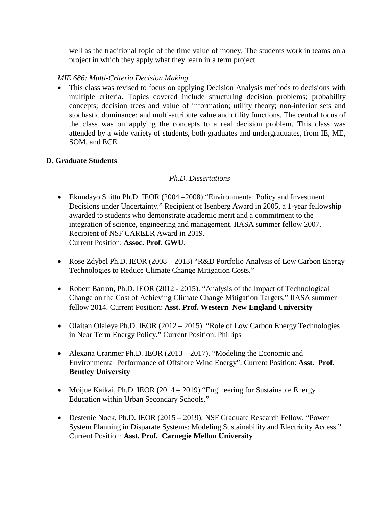well as the traditional topic of the time value of money. The students work in teams on a project in which they apply what they learn in a term project.

### *MIE 686: Multi-Criteria Decision Making*

• This class was revised to focus on applying Decision Analysis methods to decisions with multiple criteria. Topics covered include structuring decision problems; probability concepts; decision trees and value of information; utility theory; non-inferior sets and stochastic dominance; and multi-attribute value and utility functions. The central focus of the class was on applying the concepts to a real decision problem. This class was attended by a wide variety of students, both graduates and undergraduates, from IE, ME, SOM, and ECE.

### **D. Graduate Students**

### *Ph.D. Dissertations*

- Ekundayo Shittu Ph.D. IEOR (2004 –2008) "Environmental Policy and Investment Decisions under Uncertainty." Recipient of Isenberg Award in 2005, a 1-year fellowship awarded to students who demonstrate academic merit and a commitment to the integration of science, engineering and management. IIASA summer fellow 2007. Recipient of NSF CAREER Award in 2019. Current Position: **Assoc. Prof. GWU**.
- Rose Zdybel Ph.D. IEOR (2008 2013) "R&D Portfolio Analysis of Low Carbon Energy Technologies to Reduce Climate Change Mitigation Costs."
- Robert Barron, Ph.D. IEOR (2012 2015). "Analysis of the Impact of Technological Change on the Cost of Achieving Climate Change Mitigation Targets." IIASA summer fellow 2014. Current Position: **Asst. Prof. Western New England University**
- Olaitan Olaleye Ph.D. IEOR (2012 2015). "Role of Low Carbon Energy Technologies in Near Term Energy Policy." Current Position: Phillips
- Alexana Cranmer Ph.D. IEOR (2013 2017). "Modeling the Economic and Environmental Performance of Offshore Wind Energy". Current Position: **Asst. Prof. Bentley University**
- Moijue Kaikai, Ph.D. IEOR (2014 2019) "Engineering for Sustainable Energy Education within Urban Secondary Schools."
- Destenie Nock, Ph.D. IEOR (2015 2019). NSF Graduate Research Fellow. "Power System Planning in Disparate Systems: Modeling Sustainability and Electricity Access." Current Position: **Asst. Prof. Carnegie Mellon University**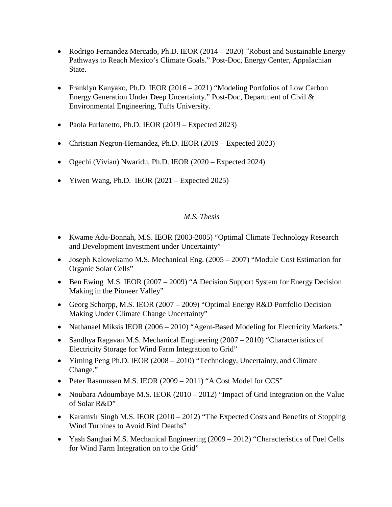- Rodrigo Fernandez Mercado, Ph.D. IEOR (2014 2020) "Robust and Sustainable Energy Pathways to Reach Mexico's Climate Goals." Post-Doc, Energy Center, Appalachian State.
- Franklyn Kanyako, Ph.D. IEOR (2016 2021) "Modeling Portfolios of Low Carbon Energy Generation Under Deep Uncertainty." Post-Doc, Department of Civil & Environmental Engineering, Tufts University.
- Paola Furlanetto, Ph.D. IEOR (2019 Expected 2023)
- Christian Negron-Hernandez, Ph.D. IEOR (2019 Expected 2023)
- Ogechi (Vivian) Nwaridu, Ph.D. IEOR (2020 Expected 2024)
- Yiwen Wang, Ph.D. IEOR (2021 Expected 2025)

#### *M.S. Thesis*

- Kwame Adu-Bonnah, M.S. IEOR (2003-2005) "Optimal Climate Technology Research and Development Investment under Uncertainty"
- Joseph Kalowekamo M.S. Mechanical Eng. (2005 2007) "Module Cost Estimation for Organic Solar Cells"
- Ben Ewing M.S. IEOR (2007 2009) "A Decision Support System for Energy Decision Making in the Pioneer Valley"
- Georg Schorpp, M.S. IEOR (2007 2009) "Optimal Energy R&D Portfolio Decision Making Under Climate Change Uncertainty"
- Nathanael Miksis IEOR (2006 2010) "Agent-Based Modeling for Electricity Markets."
- Sandhya Ragavan M.S. Mechanical Engineering (2007 2010) "Characteristics of Electricity Storage for Wind Farm Integration to Grid"
- Yiming Peng Ph.D. IEOR (2008 2010) "Technology, Uncertainty, and Climate Change."
- Peter Rasmussen M.S. IEOR (2009 2011) "A Cost Model for CCS"
- Noubara Adoumbaye M.S. IEOR (2010 2012) "Impact of Grid Integration on the Value of Solar R&D"
- Karamvir Singh M.S. IEOR (2010 2012) "The Expected Costs and Benefits of Stopping Wind Turbines to Avoid Bird Deaths"
- Yash Sanghai M.S. Mechanical Engineering (2009 2012) "Characteristics of Fuel Cells for Wind Farm Integration on to the Grid"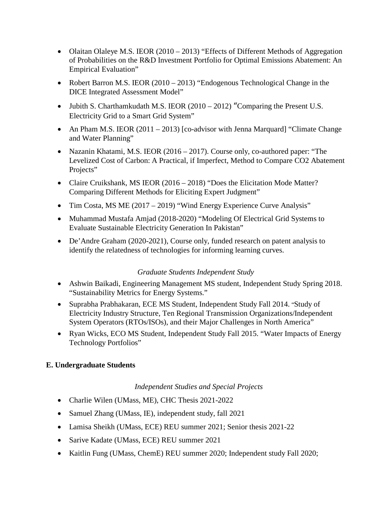- Olaitan Olaleye M.S. IEOR (2010 2013) "Effects of Different Methods of Aggregation of Probabilities on the R&D Investment Portfolio for Optimal Emissions Abatement: An Empirical Evaluation"
- Robert Barron M.S. IEOR (2010 2013) "Endogenous Technological Change in the DICE Integrated Assessment Model"
- Jubith S. Charthamkudath M.S. IEOR  $(2010 2012)$  "Comparing the Present U.S. Electricity Grid to a Smart Grid System"
- An Pham M.S. IEOR (2011 2013) [co-advisor with Jenna Marquard] "Climate Change" and Water Planning"
- Nazanin Khatami, M.S. IEOR (2016 2017). Course only, co-authored paper: "The Levelized Cost of Carbon: A Practical, if Imperfect, Method to Compare CO2 Abatement Projects"
- Claire Cruikshank, MS IEOR (2016 2018) "Does the Elicitation Mode Matter? Comparing Different Methods for Eliciting Expert Judgment"
- Tim Costa, MS ME (2017 2019) "Wind Energy Experience Curve Analysis"
- Muhammad Mustafa Amjad (2018-2020) "Modeling Of Electrical Grid Systems to Evaluate Sustainable Electricity Generation In Pakistan"
- De'Andre Graham (2020-2021), Course only, funded research on patent analysis to identify the relatedness of technologies for informing learning curves.

#### *Graduate Students Independent Study*

- Ashwin Baikadi, Engineering Management MS student, Independent Study Spring 2018. "Sustainability Metrics for Energy Systems."
- Suprabha Prabhakaran, ECE MS Student, Independent Study Fall 2014. "Study of Electricity Industry Structure, Ten Regional Transmission Organizations/Independent System Operators (RTOs/ISOs), and their Major Challenges in North America"
- Ryan Wicks, ECO MS Student, Independent Study Fall 2015. "Water Impacts of Energy Technology Portfolios"

# **E. Undergraduate Students**

*Independent Studies and Special Projects*

- Charlie Wilen (UMass, ME), CHC Thesis 2021-2022
- Samuel Zhang (UMass, IE), independent study, fall 2021
- Lamisa Sheikh (UMass, ECE) REU summer 2021; Senior thesis 2021-22
- Sarive Kadate (UMass, ECE) REU summer 2021
- Kaitlin Fung (UMass, ChemE) REU summer 2020; Independent study Fall 2020;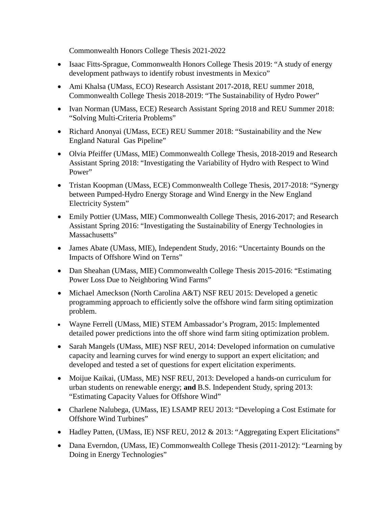Commonwealth Honors College Thesis 2021-2022

- Isaac Fitts-Sprague, Commonwealth Honors College Thesis 2019: "A study of energy development pathways to identify robust investments in Mexico"
- Ami Khalsa (UMass, ECO) Research Assistant 2017-2018, REU summer 2018, Commonwealth College Thesis 2018-2019: "The Sustainability of Hydro Power"
- Ivan Norman (UMass, ECE) Research Assistant Spring 2018 and REU Summer 2018: "Solving Multi-Criteria Problems"
- Richard Anonyai (UMass, ECE) REU Summer 2018: "Sustainability and the New England Natural Gas Pipeline"
- Olvia Pfeiffer (UMass, MIE) Commonwealth College Thesis, 2018-2019 and Research Assistant Spring 2018: "Investigating the Variability of Hydro with Respect to Wind Power"
- Tristan Koopman (UMass, ECE) Commonwealth College Thesis, 2017-2018: "Synergy between Pumped-Hydro Energy Storage and Wind Energy in the New England Electricity System"
- Emily Pottier (UMass, MIE) Commonwealth College Thesis, 2016-2017; and Research Assistant Spring 2016: "Investigating the Sustainability of Energy Technologies in Massachusetts"
- James Abate (UMass, MIE), Independent Study, 2016: "Uncertainty Bounds on the Impacts of Offshore Wind on Terns"
- Dan Sheahan (UMass, MIE) Commonwealth College Thesis 2015-2016: "Estimating Power Loss Due to Neighboring Wind Farms"
- Michael Ameckson (North Carolina A&T) NSF REU 2015: Developed a genetic programming approach to efficiently solve the offshore wind farm siting optimization problem.
- Wayne Ferrell (UMass, MIE) STEM Ambassador's Program, 2015: Implemented detailed power predictions into the off shore wind farm siting optimization problem.
- Sarah Mangels (UMass, MIE) NSF REU, 2014: Developed information on cumulative capacity and learning curves for wind energy to support an expert elicitation; and developed and tested a set of questions for expert elicitation experiments.
- Moijue Kaikai, (UMass, ME) NSF REU, 2013: Developed a hands-on curriculum for urban students on renewable energy; **and** B.S. Independent Study, spring 2013: "Estimating Capacity Values for Offshore Wind"
- Charlene Nalubega, (UMass, IE) LSAMP REU 2013: "Developing a Cost Estimate for Offshore Wind Turbines"
- Hadley Patten, (UMass, IE) NSF REU, 2012 & 2013: "Aggregating Expert Elicitations"
- Dana Everndon, (UMass, IE) Commonwealth College Thesis (2011-2012): "Learning by Doing in Energy Technologies"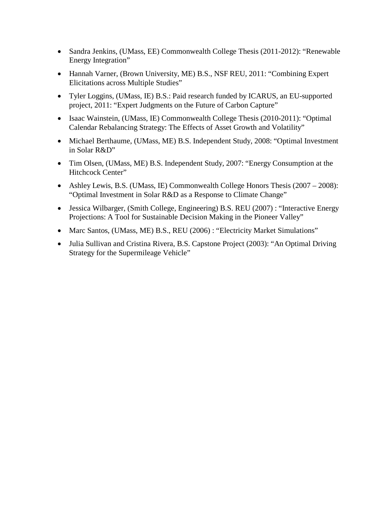- Sandra Jenkins, (UMass, EE) Commonwealth College Thesis (2011-2012): "Renewable Energy Integration"
- Hannah Varner, (Brown University, ME) B.S., NSF REU, 2011: "Combining Expert Elicitations across Multiple Studies"
- Tyler Loggins, (UMass, IE) B.S.: Paid research funded by ICARUS, an EU-supported project, 2011: "Expert Judgments on the Future of Carbon Capture"
- Isaac Wainstein, (UMass, IE) Commonwealth College Thesis (2010-2011): "Optimal Calendar Rebalancing Strategy: The Effects of Asset Growth and Volatility"
- Michael Berthaume, (UMass, ME) B.S. Independent Study, 2008: "Optimal Investment in Solar R&D"
- Tim Olsen, (UMass, ME) B.S. Independent Study, 2007: "Energy Consumption at the Hitchcock Center"
- Ashley Lewis, B.S. (UMass, IE) Commonwealth College Honors Thesis (2007 2008): "Optimal Investment in Solar R&D as a Response to Climate Change"
- Jessica Wilbarger, (Smith College, Engineering) B.S. REU (2007) : "Interactive Energy Projections: A Tool for Sustainable Decision Making in the Pioneer Valley"
- Marc Santos, (UMass, ME) B.S., REU (2006) : "Electricity Market Simulations"
- Julia Sullivan and Cristina Rivera, B.S. Capstone Project (2003): "An Optimal Driving Strategy for the Supermileage Vehicle"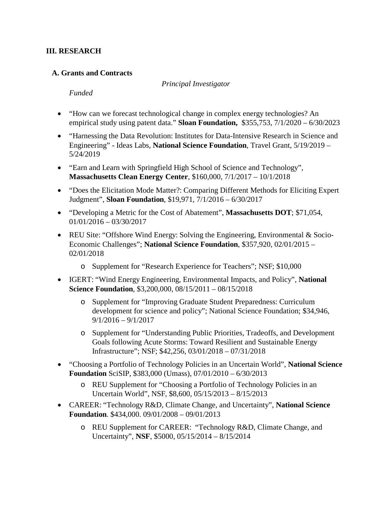#### **III. RESEARCH**

#### **A. Grants and Contracts**

*Principal Investigator*

*Funded*

- "How can we forecast technological change in complex energy technologies? An empirical study using patent data." **Sloan Foundation,** \$355,753, 7/1/2020 – 6/30/2023
- "Harnessing the Data Revolution: Institutes for Data-Intensive Research in Science and Engineering" - Ideas Labs, **National Science Foundation**, Travel Grant, 5/19/2019 – 5/24/2019
- "Earn and Learn with Springfield High School of Science and Technology", **Massachusetts Clean Energy Center**, \$160,000, 7/1/2017 – 10/1/2018
- "Does the Elicitation Mode Matter?: Comparing Different Methods for Eliciting Expert Judgment", **Sloan Foundation**, \$19,971, 7/1/2016 – 6/30/2017
- "Developing a Metric for the Cost of Abatement", **Massachusetts DOT**; \$71,054, 01/01/2016 – 03/30/2017
- REU Site: "Offshore Wind Energy: Solving the Engineering, Environmental & Socio-Economic Challenges"; **National Science Foundation**, \$357,920, 02/01/2015 – 02/01/2018
	- o Supplement for "Research Experience for Teachers"; NSF; \$10,000
- IGERT: "Wind Energy Engineering, Environmental Impacts, and Policy", **National Science Foundation**, \$3,200,000, 08/15/2011 – 08/15/2018
	- o Supplement for "Improving Graduate Student Preparedness: Curriculum development for science and policy"; National Science Foundation; \$34,946, 9/1/2016 – 9/1/2017
	- o Supplement for "Understanding Public Priorities, Tradeoffs, and Development Goals following Acute Storms: Toward Resilient and Sustainable Energy Infrastructure"; NSF; \$42,256, 03/01/2018 – 07/31/2018
- "Choosing a Portfolio of Technology Policies in an Uncertain World", **National Science Foundation** SciSIP, \$383,000 (Umass), 07/01/2010 – 6/30/2013
	- o REU Supplement for "Choosing a Portfolio of Technology Policies in an Uncertain World", NSF, \$8,600, 05/15/2013 – 8/15/2013
- CAREER: "Technology R&D, Climate Change, and Uncertainty", **National Science Foundation**. \$434,000. 09/01/2008 – 09/01/2013
	- o REU Supplement for CAREER: "Technology R&D, Climate Change, and Uncertainty", **NSF**, \$5000, 05/15/2014 – 8/15/2014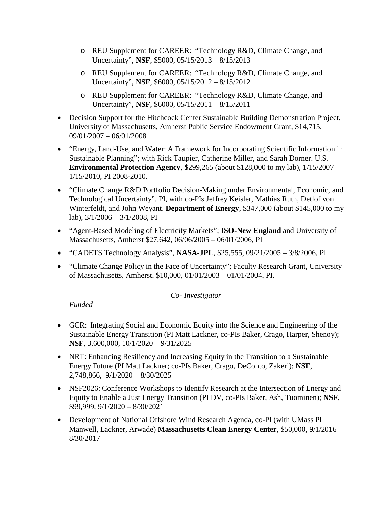- o REU Supplement for CAREER: "Technology R&D, Climate Change, and Uncertainty", **NSF**, \$5000, 05/15/2013 – 8/15/2013
- o REU Supplement for CAREER: "Technology R&D, Climate Change, and Uncertainty", **NSF**, \$6000, 05/15/2012 – 8/15/2012
- o REU Supplement for CAREER: "Technology R&D, Climate Change, and Uncertainty", **NSF**, \$6000, 05/15/2011 – 8/15/2011
- Decision Support for the Hitchcock Center Sustainable Building Demonstration Project, University of Massachusetts, Amherst Public Service Endowment Grant, \$14,715, 09/01/2007 – 06/01/2008
- "Energy, Land-Use, and Water: A Framework for Incorporating Scientific Information in Sustainable Planning"; with Rick Taupier, Catherine Miller, and Sarah Dorner. U.S. **Environmental Protection Agency**, \$299,265 (about \$128,000 to my lab), 1/15/2007 – 1/15/2010, PI 2008-2010.
- "Climate Change R&D Portfolio Decision-Making under Environmental, Economic, and Technological Uncertainty". PI, with co-PIs Jeffrey Keisler, Mathias Ruth, Detlof von Winterfeldt, and John Weyant. **Department of Energy**, \$347,000 (about \$145,000 to my lab), 3/1/2006 – 3/1/2008, PI
- "Agent-Based Modeling of Electricity Markets"; **ISO-New England** and University of Massachusetts, Amherst \$27,642, 06/06/2005 – 06/01/2006, PI
- "CADETS Technology Analysis", **NASA-JPL**, \$25,555, 09/21/2005 3/8/2006, PI
- "Climate Change Policy in the Face of Uncertainty"; Faculty Research Grant, University of Massachusetts, Amherst, \$10,000, 01/01/2003 – 01/01/2004, PI.

#### *Co- Investigator*

*Funded*

- GCR: Integrating Social and Economic Equity into the Science and Engineering of the Sustainable Energy Transition (PI Matt Lackner, co-PIs Baker, Crago, Harper, Shenoy); **NSF**, 3.600,000, 10/1/2020 – 9/31/2025
- NRT: Enhancing Resiliency and Increasing Equity in the Transition to a Sustainable Energy Future (PI Matt Lackner; co-PIs Baker, Crago, DeConto, Zakeri); **NSF**, 2,748,866, 9/1/2020 – 8/30/2025
- NSF2026: Conference Workshops to Identify Research at the Intersection of Energy and Equity to Enable a Just Energy Transition (PI DV, co-PIs Baker, Ash, Tuominen); **NSF**, \$99,999, 9/1/2020 – 8/30/2021
- Development of National Offshore Wind Research Agenda, co-PI (with UMass PI Manwell, Lackner, Arwade) **Massachusetts Clean Energy Center**, \$50,000, 9/1/2016 – 8/30/2017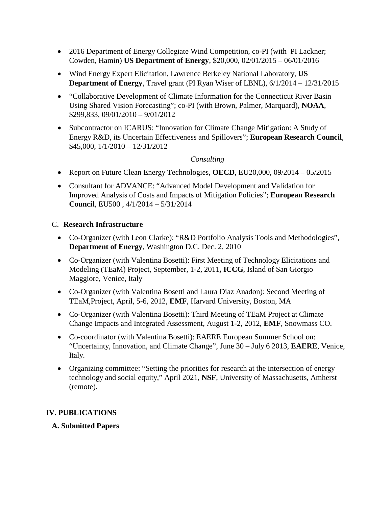- 2016 Department of Energy Collegiate Wind Competition, co-PI (with PI Lackner; Cowden, Hamin) **US Department of Energy**, \$20,000, 02/01/2015 – 06/01/2016
- Wind Energy Expert Elicitation, Lawrence Berkeley National Laboratory, **US Department of Energy**, Travel grant (PI Ryan Wiser of LBNL), 6/1/2014 – 12/31/2015
- "Collaborative Development of Climate Information for the Connecticut River Basin Using Shared Vision Forecasting"; co-PI (with Brown, Palmer, Marquard), **NOAA**, \$299,833, 09/01/2010 – 9/01/2012
- Subcontractor on ICARUS: "Innovation for Climate Change Mitigation: A Study of Energy R&D, its Uncertain Effectiveness and Spillovers"; **European Research Council**, \$45,000, 1/1/2010 – 12/31/2012

#### *Consulting*

- Report on Future Clean Energy Technologies, **OECD**, EU20,000, 09/2014 05/2015
- Consultant for ADVANCE: "Advanced Model Development and Validation for Improved Analysis of Costs and Impacts of Mitigation Policies"; **European Research Council**, EU500 , 4/1/2014 – 5/31/2014

# C. **Research Infrastructure**

- Co-Organizer (with Leon Clarke): "R&D Portfolio Analysis Tools and Methodologies", **Department of Energy**, Washington D.C. Dec. 2, 2010
- Co-Organizer (with Valentina Bosetti): First Meeting of Technology Elicitations and Modeling (TEaM) Project, September, 1-2, 2011**, ICCG**, Island of San Giorgio Maggiore, Venice, Italy
- Co-Organizer (with Valentina Bosetti and Laura Diaz Anadon): Second Meeting of TEaM,Project, April, 5-6, 2012, **EMF**, Harvard University, Boston, MA
- Co-Organizer (with Valentina Bosetti): Third Meeting of TEaM Project at Climate Change Impacts and Integrated Assessment, August 1-2, 2012, **EMF**, Snowmass CO.
- Co-coordinator (with Valentina Bosetti): EAERE European Summer School on: "Uncertainty, Innovation, and Climate Change", June 30 – July 6 2013, **EAERE**, Venice, Italy.
- Organizing committee: "Setting the priorities for research at the intersection of energy technology and social equity," April 2021, **NSF**, University of Massachusetts, Amherst (remote).

# **IV. PUBLICATIONS**

# **A. Submitted Papers**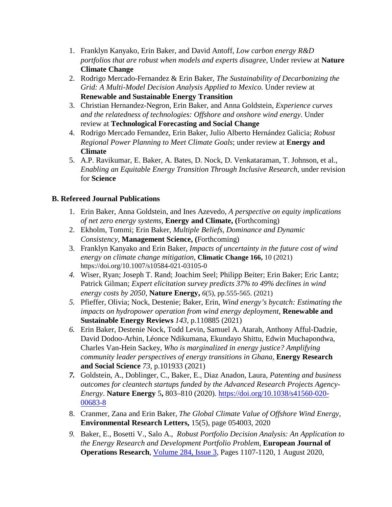- 1. Franklyn Kanyako, Erin Baker, and David Antoff, *Low carbon energy R&D portfolios that are robust when models and experts disagree,* Under review at **Nature Climate Change**
- 2. Rodrigo Mercado-Fernandez & Erin Baker, *The Sustainability of Decarbonizing the Grid: A Multi-Model Decision Analysis Applied to Mexico.* Under review at **Renewable and Sustainable Energy Transition**
- 3. Christian Hernandez-Negron, Erin Baker, and Anna Goldstein, *Experience curves and the relatedness of technologies: Offshore and onshore wind energy.* Under review at **Technological Forecasting and Social Change**
- 4. Rodrigo Mercado Fernandez, Erin Baker, Julio Alberto Hernández Galicia; *Robust Regional Power Planning to Meet Climate Goals*; under review at **Energy and Climate**
- 5. A.P. Ravikumar, E. Baker, A. Bates, D. Nock, D. Venkataraman, T. Johnson, et al., *Enabling an Equitable Energy Transition Through Inclusive Research,* under revision for **Science**

# **B. Refereed Journal Publications**

- 1. Erin Baker, Anna Goldstein, and Ines Azevedo, *A perspective on equity implications of net zero energy systems,* **Energy and Climate, (**Forthcoming)
- 2. Ekholm, Tommi; Erin Baker, *Multiple Beliefs, Dominance and Dynamic Consistency*, **Management Science, (**Forthcoming)
- 3. Franklyn Kanyako and Erin Baker, *Impacts of uncertainty in the future cost of wind energy on climate change mitigation,* **Climatic Change 166,** 10 (2021) https://doi.org/10.1007/s10584-021-03105-0
- *4.* Wiser, Ryan; Joseph T. Rand; Joachim Seel; Philipp Beiter; Erin Baker; Eric Lantz; Patrick Gilman; *Expert elicitation survey predicts 37% to 49% declines in wind energy costs by 2050*, **Nature Energy,** *6*(5), pp.555-565. (2021)
- *5.* Pfieffer, Olivia; Nock, Destenie; Baker, Erin, *Wind energy's bycatch: Estimating the impacts on hydropower operation from wind energy deployment,* **Renewable and Sustainable Energy Reviews** *143*, p.110885 (2021)
- *6.* Erin Baker, Destenie Nock, Todd Levin, Samuel A. Atarah, Anthony Afful-Dadzie, David Dodoo-Arhin, Léonce Ndikumana, Ekundayo Shittu, Edwin Muchapondwa, Charles Van-Hein Sackey, *Who is marginalized in energy justice? Amplifying community leader perspectives of energy transitions in Ghana,* **Energy Research and Social Science** *73*, p.101933 (2021)
- *7.* Goldstein, A., Doblinger, C., Baker, E., Diaz Anadon, Laura, *Patenting and business outcomes for cleantech startups funded by the Advanced Research Projects Agency-Energy*. **Nature Energy** 5**,** 803–810 (2020). [https://doi.org/10.1038/s41560-020-](https://doi.org/10.1038/s41560-020-00683-8) [00683-8](https://doi.org/10.1038/s41560-020-00683-8)
- 8. Cranmer, Zana and Erin Baker, *The Global Climate Value of Offshore Wind Energy,*  **Environmental Research Letters,** 15(5), page 054003, 2020
- *9.* Baker, E., Bosetti V., Salo A., *Robust Portfolio Decision Analysis: An Application to the Energy Research and Development Portfolio Problem*, **European Journal of Operations Research**, [Volume 284, Issue 3,](https://www.sciencedirect.com/science/journal/03772217/284/3) Pages 1107-1120, 1 August 2020,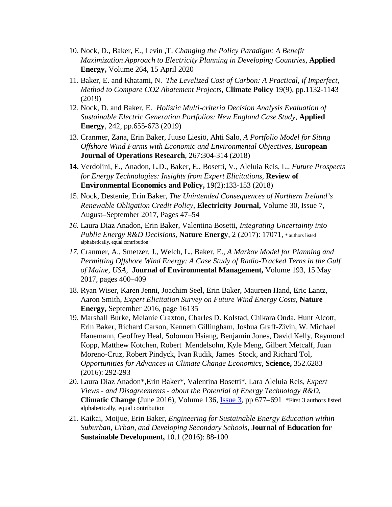- 10. Nock, D., Baker, E., Levin ,T. *Changing the Policy Paradigm: A Benefit Maximization Approach to Electricity Planning in Developing Countries,* **Applied Energy,** Volume 264, 15 April 2020
- 11. Baker, E. and Khatami, N. *The Levelized Cost of Carbon: A Practical, if Imperfect, Method to Compare CO2 Abatement Projects,* **Climate Policy** 19(9), pp.1132-1143 (2019)
- 12. Nock, D. and Baker, E. *Holistic Multi-criteria Decision Analysis Evaluation of Sustainable Electric Generation Portfolios: New England Case Study*, **Applied Energy**, 242, pp.655-673 (2019)
- 13. Cranmer, Zana, Erin Baker, Juuso Liesiö, Ahti Salo, *A Portfolio Model for Siting Offshore Wind Farms with Economic and Environmental Objectives*, **European Journal of Operations Research**, 267:304-314 (2018)
- **14.** Verdolini, E., Anadon, L.D., Baker, E., Bosetti, V., Aleluia Reis, L., *Future Prospects for Energy Technologies: Insights from Expert Elicitations,* **Review of Environmental Economics and Policy,** 19(2):133-153 (2018)
- 15. Nock, Destenie, Erin Baker, *The Unintended Consequences of Northern Ireland's Renewable Obligation Credit Policy*, **Electricity Journal,** Volume 30, Issue 7, August–September 2017, Pages 47–54
- *16.* Laura Diaz Anadon, Erin Baker, Valentina Bosetti, *Integrating Uncertainty into Public Energy R&D Decisions,* **Nature Energy**, 2 (2017): 17071, \* authors listed alphabetically, equal contribution
- *17.* Cranmer, A., Smetzer, J., Welch, L., Baker, E., *A Markov Model for Planning and Permitting Offshore Wind Energy: A Case Study of Radio-Tracked Terns in the Gulf of Maine, USA*, **Journal of Environmental Management,** Volume 193, 15 May 2017, pages 400–409
- 18. Ryan Wiser, Karen Jenni, Joachim Seel, Erin Baker, Maureen Hand, Eric Lantz, Aaron Smith, *Expert Elicitation Survey on Future Wind Energy Costs,* **Nature Energy,** September 2016, page 16135
- 19. Marshall Burke, Melanie Craxton, Charles D. Kolstad, Chikara Onda, Hunt Alcott, Erin Baker, Richard Carson, Kenneth Gillingham, Joshua Graff-Zivin, W. Michael Hanemann, Geoffrey Heal, Solomon Hsiang, Benjamin Jones, David Kelly, Raymond Kopp, Matthew Kotchen, Robert Mendelsohn, Kyle Meng, Gilbert Metcalf, Juan Moreno-Cruz, Robert Pindyck, Ivan Rudik, James Stock, and Richard Tol, *Opportunities for Advances in Climate Change Economics*, **Science,** 352.6283 (2016): 292-293
- 20. Laura Diaz Anadon\*,Erin Baker\*, Valentina Bosetti\*, Lara Aleluia Reis, *Expert Views - and Disagreements - about the Potential of Energy Technology R&D*, **Climatic Change** (June 2016), Volume 136, [Issue](http://link.springer.com/journal/10584/136/3/page/1) 3, pp 677–691 \*First 3 authors listed alphabetically, equal contribution
- 21. Kaikai, Moijue, Erin Baker, *Engineering for Sustainable Energy Education within Suburban, Urban, and Developing Secondary Schools*, **Journal of Education for Sustainable Development,** 10.1 (2016): 88-100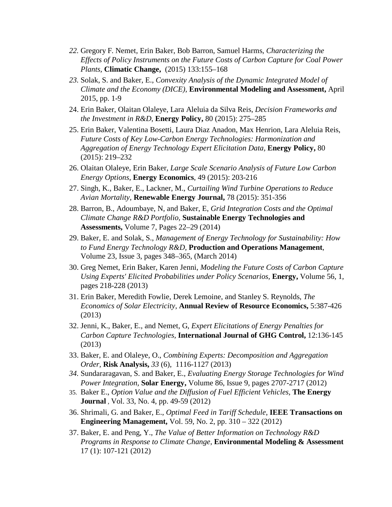- *22.* Gregory F. Nemet, Erin Baker, Bob Barron, Samuel Harms, *Characterizing the Effects of Policy Instruments on the Future Costs of Carbon Capture for Coal Power Plants,* **Climatic Change,** (2015) 133:155–168
- *23.* Solak, S. and Baker, E., *Convexity Analysis of the Dynamic Integrated Model of Climate and the Economy (DICE),* **Environmental Modeling and Assessment,** April 2015, pp. 1-9
- 24. Erin Baker, Olaitan Olaleye, Lara Aleluia da Silva Reis, *Decision Frameworks and the Investment in R&D*, **Energy Policy,** 80 (2015): 275–285
- 25. Erin Baker, Valentina Bosetti, Laura Diaz Anadon, Max Henrion, Lara Aleluia Reis, *Future Costs of Key Low-Carbon Energy Technologies: Harmonization and Aggregation of Energy Technology Expert Elicitation Data,* **Energy Policy,** [80](http://www.sciencedirect.com/science/journal/03014215/80/supp/C) (2015): 219–232
- 26. Olaitan Olaleye, Erin Baker, *Large Scale Scenario Analysis of Future Low Carbon Energy Options*, **Energy Economics**, 49 (2015): 203-216
- 27. Singh, K., Baker, E., Lackner, M., *Curtailing Wind Turbine Operations to Reduce Avian Mortality*, **Renewable Energy Journal,** 78 (2015): 351-356
- 28. Barron, B., Adoumbaye, N, and Baker, E, *Grid Integration Costs and the Optimal Climate Change R&D Portfolio,* **Sustainable Energy Technologies and Assessments,** Volume 7, Pages 22–29 (2014)
- 29. Baker, E. and Solak, S., *Management of Energy Technology for Sustainability: How to Fund Energy Technology R&D,* **Production and Operations Management**, Volume 23, Issue 3, pages 348–365, (March 2014)
- 30. Greg Nemet, Erin Baker, Karen Jenni, *Modeling the Future Costs of Carbon Capture Using Experts' Elicited Probabilities under Policy Scenarios,* **Energy,** Volume 56, 1, pages 218-228 (2013)
- 31. Erin Baker, Meredith Fowlie, Derek Lemoine, and Stanley S. Reynolds, *The Economics of Solar Electricity*, **Annual Review of Resource Economics,** 5:387-426 (2013)
- 32. Jenni, K., Baker, E., and Nemet, G, *Expert Elicitations of Energy Penalties for Carbon Capture Technologies,* **International Journal of GHG Control,** 12:136-145 (2013)
- 33. Baker, E. and Olaleye, O., *Combining Experts: Decomposition and Aggregation Order,* **Risk Analysis,** *33* (6), 1116-1127 (2013)
- *34.* Sundararagavan, S. and Baker, E., *Evaluating Energy Storage Technologies for Wind Power Integration,* **Solar Energy,** Volume 86, Issue 9, pages 2707-2717 (2012)
- 35. Baker E., *Option Value and the Diffusion of Fuel Efficient Vehicles,* **The Energy Journal** , Vol. 33, No. 4, pp. 49-59 (2012)
- 36. Shrimali, G. and Baker, E., *Optimal Feed in Tariff Schedule*, **IEEE Transactions on Engineering Management,** Vol. 59, No. 2, pp. 310 – 322 (2012)
- 37. Baker, E. and Peng, Y., *The Value of Better Information on Technology R&D Programs in Response to Climate Change*, **Environmental Modeling & Assessment**  17 (1): 107-121 (2012)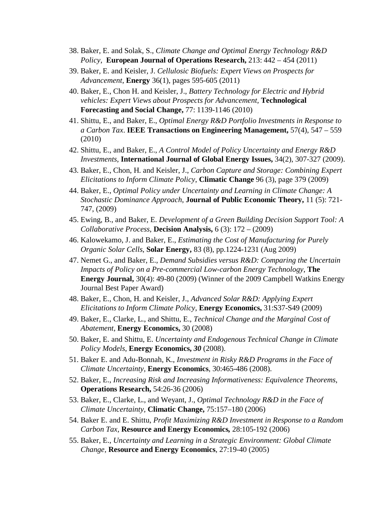- 38. Baker, E. and Solak, S., *Climate Change and Optimal Energy Technology R&D Policy*, **European Journal of Operations Research,** 213: 442 – 454 (2011)
- 39. Baker, E. and Keisler, J. *Cellulosic Biofuels: Expert Views on Prospects for Advancement*, **Energy** 36(1), pages 595-605 (2011)
- 40. Baker, E., Chon H. and Keisler, J., *Battery Technology for Electric and Hybrid vehicles: Expert Views about Prospects for Advancement,* **Technological Forecasting and Social Change,** 77: 1139-1146 (2010)
- 41. Shittu, E., and Baker, E., *Optimal Energy R&D Portfolio Investments in Response to a Carbon Tax*. **IEEE Transactions on Engineering Management,** 57(4), 547 – 559 (2010)
- 42. Shittu, E., and Baker, E., *A Control Model of Policy Uncertainty and Energy R&D Investments,* **International Journal of Global Energy Issues,** 34(2), 307-327 (2009).
- 43. Baker, E., Chon, H. and Keisler, J., *Carbon Capture and Storage: Combining Expert Elicitations to Inform Climate Policy*, **Climatic Change** 96 (3), page 379 (2009)
- 44. Baker, E., *Optimal Policy under Uncertainty and Learning in Climate Change: A Stochastic Dominance Approach*, **Journal of Public Economic Theory,** 11 (5): 721- 747, (2009)
- 45. Ewing, B., and Baker, E. *Development of a Green Building Decision Support Tool: A Collaborative Process*, **Decision Analysis,** 6 (3): 172 – (2009)
- 46. Kalowekamo, J. and Baker, E., *Estimating the Cost of Manufacturing for Purely Organic Solar Cells*, **Solar Energy,** 83 (8), pp.1224-1231 (Aug 2009)
- 47. Nemet G., and Baker, E., *Demand Subsidies versus R&D: Comparing the Uncertain Impacts of Policy on a Pre-commercial Low-carbon Energy Technology*, **The Energy Journal,** 30(4): 49-80 (2009) (Winner of the 2009 Campbell Watkins Energy Journal Best Paper Award)
- 48. Baker, E., Chon, H. and Keisler, J., *Advanced Solar R&D: Applying Expert Elicitations to Inform Climate Policy*, **Energy Economics,** 31:S37-S49 (2009)
- 49. Baker, E., Clarke, L., and Shittu, E., *Technical Change and the Marginal Cost of Abatement*, **Energy Economics,** 30 (2008)
- 50. Baker, E. and Shittu, E. *Uncertainty and Endogenous Technical Change in Climate Policy Models*, **Energy Economics,** *30* (2008).
- 51. Baker E. and Adu-Bonnah, K., *Investment in Risky R&D Programs in the Face of Climate Uncertainty,* **Energy Economics**, 30:465-486 (2008).
- 52. Baker, E., *Increasing Risk and Increasing Informativeness: Equivalence Theorems*, **Operations Research,** 54:26-36 (2006)
- 53. Baker, E., Clarke, L., and Weyant, J., *Optimal Technology R&D in the Face of Climate Uncertainty,* **Climatic Change,** 75:157–180 (2006)
- 54. Baker E. and E. Shittu, *Profit Maximizing R&D Investment in Response to a Random Carbon Tax,* **Resource and Energy Economics***,* 28:105-192 (2006)
- 55. Baker, E., *Uncertainty and Learning in a Strategic Environment: Global Climate Change,* **Resource and Energy Economics**, 27:19-40 (2005)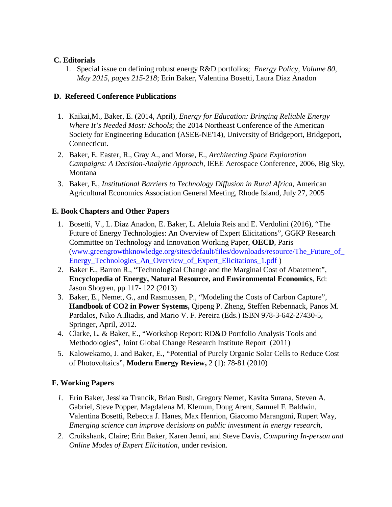#### **C. Editorials**

1. [Special issue on defining robust energy R&D portfolios;](http://www.sciencedirect.com/science/article/pii/S0301421515000634) *Energy Policy*, *Volume 80*, *May 2015*, *pages 215-218*; Erin Baker, Valentina Bosetti, Laura Diaz Anadon

# **D. Refereed Conference Publications**

- 1. Kaikai,M., Baker, E. (2014, April), *Energy for Education: Bringing Reliable Energy Where It's Needed Most: Schools*; the 2014 Northeast Conference of the American Society for Engineering Education (ASEE-NE'14), University of Bridgeport, Bridgeport, Connecticut.
- 2. Baker, E. Easter, R., Gray A., and Morse, E., *Architecting Space Exploration Campaigns: A Decision-Analytic Approach,* IEEE Aerospace Conference, 2006, Big Sky, Montana
- 3. Baker, E*., Institutional Barriers to Technology Diffusion in Rural Africa,* American Agricultural Economics Association General Meeting, Rhode Island, July 27, 2005

# **E. Book Chapters and Other Papers**

- 1. Bosetti, V., L. Diaz Anadon, E. Baker, L. Aleluia Reis and E. Verdolini (2016), "The Future of Energy Technologies: An Overview of Expert Elicitations", GGKP Research Committee on Technology and Innovation Working Paper, **OECD**, Paris [\(www.greengrowthknowledge.org/sites/default/files/downloads/resource/The\\_Future\\_of\\_](http://www.greengrowthknowledge.org/sites/default/files/downloads/resource/The_Future_of_Energy_Technologies_An_Overview_of_Expert_Elicitations_1.pdf) [Energy\\_Technologies\\_An\\_Overview\\_of\\_Expert\\_Elicitations\\_1.pdf](http://www.greengrowthknowledge.org/sites/default/files/downloads/resource/The_Future_of_Energy_Technologies_An_Overview_of_Expert_Elicitations_1.pdf) )
- 2. Baker E., Barron R., "Technological Change and the Marginal Cost of Abatement", **Encyclopedia of Energy, Natural Resource, and Environmental Economics**, Ed: Jason Shogren, pp 117- 122 (2013)
- 3. Baker, E., Nemet, G., and Rasmussen, P., "Modeling the Costs of Carbon Capture", **Handbook of CO2 in Power Systems,** Qipeng P. Zheng, Steffen Rebennack, Panos M. Pardalos, Niko A.Iliadis, and Mario V. F. Pereira (Eds.) ISBN 978-3-642-27430-5, Springer, April, 2012.
- 4. Clarke, L. & Baker, E., "Workshop Report: RD&D Portfolio Analysis Tools and Methodologies", Joint Global Change Research Institute Report (2011)
- 5. Kalowekamo, J. and Baker, E., "Potential of Purely Organic Solar Cells to Reduce Cost of Photovoltaics", **Modern Energy Review,** 2 (1): 78-81 (2010)

# **F. Working Papers**

- *1.* Erin Baker, Jessika Trancik, Brian Bush, Gregory Nemet, Kavita Surana, Steven A. Gabriel, Steve Popper, Magdalena M. Klemun, Doug Arent, Samuel F. Baldwin, Valentina Bosetti, Rebecca J. Hanes, Max Henrion, Giacomo Marangoni, Rupert Way, *Emerging science can improve decisions on public investment in energy research,*
- *2.* Cruikshank, Claire; Erin Baker, Karen Jenni, and Steve Davis, *Comparing In-person and Online Modes of Expert Elicitation,* under revision.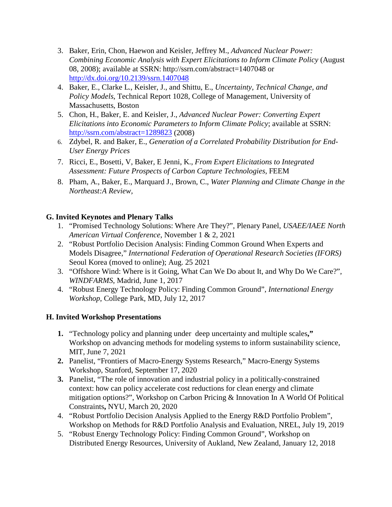- 3. Baker, Erin, Chon, Haewon and Keisler, Jeffrey M., *Advanced Nuclear Power: Combining Economic Analysis with Expert Elicitations to Inform Climate Policy* (August 08, 2008); available at SSRN: http://ssrn.com/abstract=1407048 or <http://dx.doi.org/10.2139/ssrn.1407048>
- 4. Baker, E., Clarke L., Keisler, J., and Shittu, E., *Uncertainty, Technical Change, and Policy Models*, Technical Report 1028, College of Management, University of Massachusetts, Boston
- 5. Chon, H., Baker, E. and Keisler, J., *Advanced Nuclear Power: Converting Expert Elicitations into Economic Parameters to Inform Climate Policy*; available at SSRN: <http://ssrn.com/abstract=1289823> (2008)
- 6. Zdybel, R. and Baker, E., *Generation of a Correlated Probability Distribution for End-User Energy Prices*
- 7. Ricci, E., Bosetti, V, Baker, E Jenni, K., *From Expert Elicitations to Integrated Assessment: Future Prospects of Carbon Capture Technologies,* FEEM
- 8. Pham, A., Baker, E., Marquard J., Brown, C., *Water Planning and Climate Change in the Northeast:A Review,*

### **G. Invited Keynotes and Plenary Talks**

- 1. "Promised Technology Solutions: Where Are They?", Plenary Panel, *USAEE/IAEE North American Virtual Conference*, November 1 & 2, 2021
- 2. "Robust Portfolio Decision Analysis: Finding Common Ground When Experts and Models Disagree," *International Federation of Operational Research Societies (IFORS)*  Seoul Korea (moved to online); Aug. 25 2021
- 3. "Offshore Wind: Where is it Going, What Can We Do about It, and Why Do We Care?", *WINDFARMS*, Madrid, June 1, 2017
- 4. "Robust Energy Technology Policy: Finding Common Ground", *International Energy Workshop*, College Park, MD, July 12, 2017

#### **H. Invited Workshop Presentations**

- **1.** "Technology policy and planning under deep uncertainty and multiple scales**,"**  Workshop on advancing methods for modeling systems to inform sustainability science, MIT, June 7, 2021
- **2.** Panelist, "Frontiers of Macro-Energy Systems Research," Macro-Energy Systems Workshop, Stanford, September 17, 2020
- **3.** Panelist, "The role of innovation and industrial policy in a politically-constrained context: how can policy accelerate cost reductions for clean energy and climate mitigation options?", Workshop on Carbon Pricing & Innovation In A World Of Political Constraints**,** NYU, March 20, 2020
- 4. "Robust Portfolio Decision Analysis Applied to the Energy R&D Portfolio Problem", Workshop on Methods for R&D Portfolio Analysis and Evaluation, NREL, July 19, 2019
- 5. "Robust Energy Technology Policy: Finding Common Ground"*,* Workshop on Distributed Energy Resources, University of Aukland, New Zealand, January 12, 2018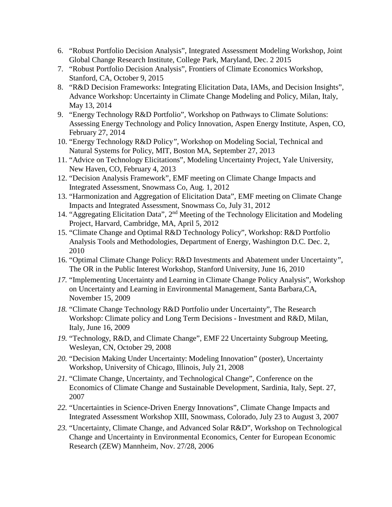- 6. "Robust Portfolio Decision Analysis", Integrated Assessment Modeling Workshop, Joint Global Change Research Institute, College Park, Maryland, Dec. 2 2015
- 7. "Robust Portfolio Decision Analysis", Frontiers of Climate Economics Workshop, Stanford, CA, October 9, 2015
- 8. "R&D Decision Frameworks: Integrating Elicitation Data, IAMs, and Decision Insights", Advance Workshop: Uncertainty in Climate Change Modeling and Policy, Milan, Italy, May 13, 2014
- 9. "Energy Technology R&D Portfolio", Workshop on Pathways to Climate Solutions: Assessing Energy Technology and Policy Innovation, Aspen Energy Institute, Aspen, CO, February 27, 2014
- 10. "Energy Technology R&D Policy*",* Workshop on Modeling Social, Technical and Natural Systems for Policy, MIT, Boston MA, September 27, 2013
- 11. "Advice on Technology Elicitations", Modeling Uncertainty Project, Yale University, New Haven, CO, February 4, 2013
- 12. "Decision Analysis Framework", EMF meeting on Climate Change Impacts and Integrated Assessment, Snowmass Co, Aug. 1, 2012
- 13. "Harmonization and Aggregation of Elicitation Data", EMF meeting on Climate Change Impacts and Integrated Assessment, Snowmass Co, July 31, 2012
- 14. "Aggregating Elicitation Data", 2nd Meeting of the Technology Elicitation and Modeling Project, Harvard, Cambridge, MA, April 5, 2012
- 15. "Climate Change and Optimal R&D Technology Policy"*,* Workshop: R&D Portfolio Analysis Tools and Methodologies, Department of Energy, Washington D.C. Dec. 2, 2010
- 16. "Optimal Climate Change Policy: R&D Investments and Abatement under Uncertainty*"*, The OR in the Public Interest Workshop, Stanford University, June 16, 2010
- *17.* "Implementing Uncertainty and Learning in Climate Change Policy Analysis", Workshop on Uncertainty and Learning in Environmental Management, Santa Barbara,CA, November 15, 2009
- *18.* "Climate Change Technology R&D Portfolio under Uncertainty", The Research Workshop: Climate policy and Long Term Decisions - Investment and R&D, Milan, Italy, June 16, 2009
- *19.* "Technology, R&D, and Climate Change", EMF 22 Uncertainty Subgroup Meeting, Wesleyan, CN, October 29, 2008
- *20.* "Decision Making Under Uncertainty: Modeling Innovation" (poster), Uncertainty Workshop, University of Chicago, Illinois, July 21, 2008
- *21.* "Climate Change, Uncertainty, and Technological Change", Conference on the Economics of Climate Change and Sustainable Development, Sardinia, Italy, Sept. 27, 2007
- *22.* "Uncertainties in Science-Driven Energy Innovations"*,* Climate Change Impacts and Integrated Assessment Workshop XIII, Snowmass, Colorado, July 23 to August 3, 2007
- *23.* "Uncertainty, Climate Change, and Advanced Solar R&D", Workshop on Technological Change and Uncertainty in Environmental Economics, Center for European Economic Research (ZEW) Mannheim, Nov. 27/28, 2006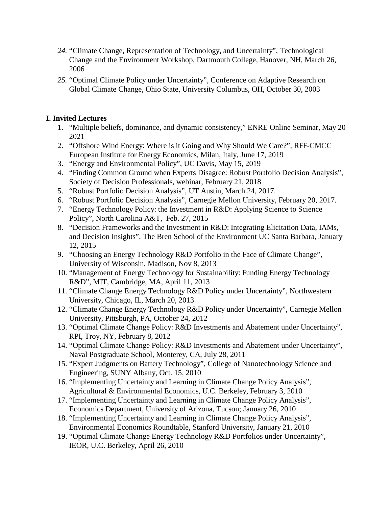- *24.* "Climate Change, Representation of Technology, and Uncertainty", Technological Change and the Environment Workshop, Dartmouth College, Hanover, NH, March 26, 2006
- *25.* "Optimal Climate Policy under Uncertainty"*,* Conference on Adaptive Research on Global Climate Change, Ohio State, University Columbus, OH, October 30, 2003

### **I. Invited Lectures**

- 1. "Multiple beliefs, dominance, and dynamic consistency," ENRE Online Seminar, May 20 2021
- 2. "Offshore Wind Energy: Where is it Going and Why Should We Care?"*,* RFF-CMCC European Institute for Energy Economics, Milan, Italy, June 17, 2019
- 3. "Energy and Environmental Policy", UC Davis, May 15, 2019
- 4. "Finding Common Ground when Experts Disagree: Robust Portfolio Decision Analysis", Society of Decision Professionals, webinar, February 21, 2018
- 5. "Robust Portfolio Decision Analysis", UT Austin, March 24, 2017.
- 6. "Robust Portfolio Decision Analysis", Carnegie Mellon University, February 20, 2017.
- 7. "Energy Technology Policy: the Investment in R&D: Applying Science to Science Policy", North Carolina A&T, Feb. 27, 2015
- 8. "Decision Frameworks and the Investment in R&D: Integrating Elicitation Data, IAMs, and Decision Insights", The Bren School of the Environment UC Santa Barbara, January 12, 2015
- 9. "Choosing an Energy Technology R&D Portfolio in the Face of Climate Change", University of Wisconsin, Madison, Nov 8, 2013
- 10. "Management of Energy Technology for Sustainability: Funding Energy Technology R&D", MIT, Cambridge, MA, April 11, 2013
- 11. "Climate Change Energy Technology R&D Policy under Uncertainty", Northwestern University, Chicago, IL, March 20, 2013
- 12. "Climate Change Energy Technology R&D Policy under Uncertainty", Carnegie Mellon University, Pittsburgh, PA, October 24, 2012
- 13. "Optimal Climate Change Policy: R&D Investments and Abatement under Uncertainty", RPI, Troy, NY, February 8, 2012
- 14. "Optimal Climate Change Policy: R&D Investments and Abatement under Uncertainty", Naval Postgraduate School, Monterey, CA, July 28, 2011
- 15. "Expert Judgments on Battery Technology", College of Nanotechnology Science and Engineering, SUNY Albany, Oct. 15, 2010
- 16. "Implementing Uncertainty and Learning in Climate Change Policy Analysis"*,*  Agricultural & Environmental Economics, U.C. Berkeley, February 3, 2010
- 17. "Implementing Uncertainty and Learning in Climate Change Policy Analysis", Economics Department, University of Arizona, Tucson; January 26, 2010
- 18. "Implementing Uncertainty and Learning in Climate Change Policy Analysis"*,* Environmental Economics Roundtable, Stanford University, January 21, 2010
- 19. "Optimal Climate Change Energy Technology R&D Portfolios under Uncertainty", IEOR, U.C. Berkeley, April 26, 2010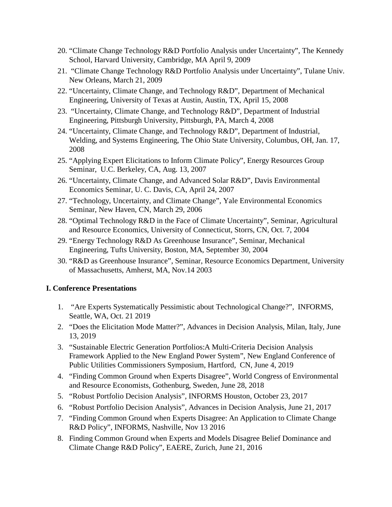- 20. "Climate Change Technology R&D Portfolio Analysis under Uncertainty", The Kennedy School, Harvard University, Cambridge, MA April 9, 2009
- 21. "Climate Change Technology R&D Portfolio Analysis under Uncertainty", Tulane Univ. New Orleans, March 21, 2009
- 22. "Uncertainty, Climate Change, and Technology R&D", Department of Mechanical Engineering, University of Texas at Austin, Austin, TX, April 15, 2008
- 23. "Uncertainty, Climate Change, and Technology R&D", Department of Industrial Engineering, Pittsburgh University, Pittsburgh, PA, March 4, 2008
- 24. "Uncertainty, Climate Change, and Technology R&D", Department of Industrial, Welding, and Systems Engineering, The Ohio State University, Columbus, OH, Jan. 17, 2008
- 25. "Applying Expert Elicitations to Inform Climate Policy", Energy Resources Group Seminar, U.C. Berkeley, CA, Aug. 13, 2007
- 26. "Uncertainty, Climate Change, and Advanced Solar R&D", Davis Environmental Economics Seminar, U. C. Davis, CA, April 24, 2007
- 27. "Technology, Uncertainty, and Climate Change"*,* Yale Environmental Economics Seminar, New Haven, CN, March 29, 2006
- 28. "Optimal Technology R&D in the Face of Climate Uncertainty", Seminar, Agricultural and Resource Economics, University of Connecticut, Storrs, CN, Oct. 7, 2004
- 29. "Energy Technology R&D As Greenhouse Insurance", Seminar, Mechanical Engineering, Tufts University, Boston, MA, September 30, 2004
- 30. "R&D as Greenhouse Insurance", Seminar, Resource Economics Department, University of Massachusetts, Amherst, MA, Nov.14 2003

#### **I. Conference Presentations**

- 1. "Are Experts Systematically Pessimistic about Technological Change?", INFORMS, Seattle, WA, Oct. 21 2019
- 2. "Does the Elicitation Mode Matter?", Advances in Decision Analysis, Milan, Italy, June 13, 2019
- 3. "Sustainable Electric Generation Portfolios:A Multi-Criteria Decision Analysis Framework Applied to the New England Power System", New England Conference of Public Utilities Commissioners Symposium, Hartford, CN, June 4, 2019
- 4. "Finding Common Ground when Experts Disagree", World Congress of Environmental and Resource Economists, Gothenburg, Sweden, June 28, 2018
- 5. "Robust Portfolio Decision Analysis"*,* INFORMS Houston, October 23, 2017
- 6. "Robust Portfolio Decision Analysis", Advances in Decision Analysis, June 21, 2017
- 7. "Finding Common Ground when Experts Disagree: An Application to Climate Change R&D Policy", INFORMS, Nashville, Nov 13 2016
- 8. Finding Common Ground when Experts and Models Disagree Belief Dominance and Climate Change R&D Policy", EAERE, Zurich, June 21, 2016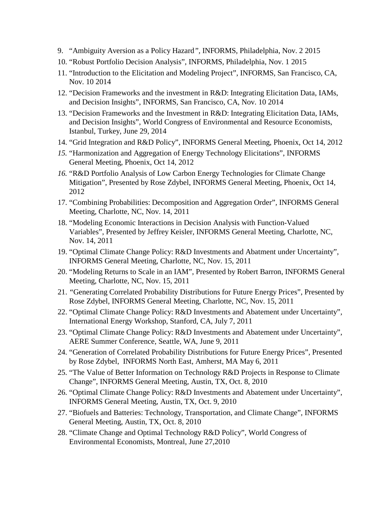- 9. "Ambiguity Aversion as a Policy Hazard*",* INFORMS, Philadelphia, Nov. 2 2015
- 10. "Robust Portfolio Decision Analysis", INFORMS, Philadelphia, Nov. 1 2015
- 11. "Introduction to the Elicitation and Modeling Project", INFORMS*,* San Francisco, CA, Nov. 10 2014
- 12. "Decision Frameworks and the investment in R&D: Integrating Elicitation Data, IAMs, and Decision Insights", INFORMS*,* San Francisco, CA, Nov. 10 2014
- 13. "Decision Frameworks and the Investment in R&D: Integrating Elicitation Data, IAMs, and Decision Insights", World Congress of Environmental and Resource Economists, Istanbul, Turkey, June 29, 2014
- 14. "Grid Integration and R&D Policy", INFORMS General Meeting, Phoenix, Oct 14, 2012
- *15.* "Harmonization and Aggregation of Energy Technology Elicitations", INFORMS General Meeting, Phoenix, Oct 14, 2012
- *16.* "R&D Portfolio Analysis of Low Carbon Energy Technologies for Climate Change Mitigation", Presented by Rose Zdybel, INFORMS General Meeting, Phoenix, Oct 14, 2012
- 17. "Combining Probabilities: Decomposition and Aggregation Order"*,* INFORMS General Meeting, Charlotte, NC, Nov. 14, 2011
- 18. "Modeling Economic Interactions in Decision Analysis with Function-Valued Variables", Presented by Jeffrey Keisler, INFORMS General Meeting, Charlotte, NC, Nov. 14, 2011
- 19. "Optimal Climate Change Policy: R&D Investments and Abatment under Uncertainty", INFORMS General Meeting, Charlotte, NC, Nov. 15, 2011
- 20. "Modeling Returns to Scale in an IAM", Presented by Robert Barron, INFORMS General Meeting, Charlotte, NC, Nov. 15, 2011
- 21. *"*Generating Correlated Probability Distributions for Future Energy Prices", Presented by Rose Zdybel, INFORMS General Meeting, Charlotte, NC, Nov. 15, 2011
- 22. "Optimal Climate Change Policy: R&D Investments and Abatement under Uncertainty"*,* International Energy Workshop, Stanford, CA, July 7, 2011
- 23. "Optimal Climate Change Policy: R&D Investments and Abatement under Uncertainty", AERE Summer Conference, Seattle, WA, June 9, 2011
- 24. "Generation of Correlated Probability Distributions for Future Energy Prices"*,* Presented by Rose Zdybel, INFORMS North East, Amherst, MA May 6, 2011
- 25. "The Value of Better Information on Technology R&D Projects in Response to Climate Change", INFORMS General Meeting, Austin, TX, Oct. 8, 2010
- 26. "Optimal Climate Change Policy: R&D Investments and Abatement under Uncertainty", INFORMS General Meeting, Austin, TX, Oct. 9, 2010
- 27. "Biofuels and Batteries: Technology, Transportation, and Climate Change"*,* INFORMS General Meeting, Austin, TX, Oct. 8, 2010
- 28. "Climate Change and Optimal Technology R&D Policy", World Congress of Environmental Economists, Montreal, June 27,2010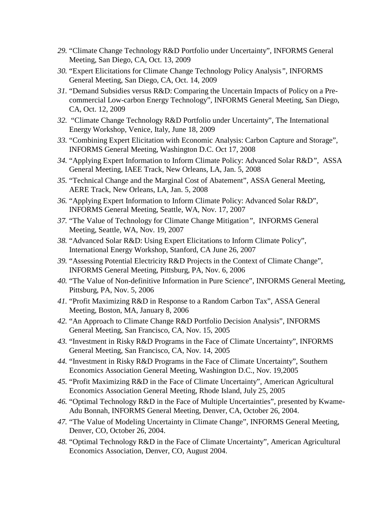- *29.* "Climate Change Technology R&D Portfolio under Uncertainty", INFORMS General Meeting, San Diego, CA, Oct. 13, 2009
- *30.* "Expert Elicitations for Climate Change Technology Policy Analysis*",* INFORMS General Meeting, San Diego, CA, Oct. 14, 2009
- *31.* "Demand Subsidies versus R&D: Comparing the Uncertain Impacts of Policy on a Precommercial Low-carbon Energy Technology"*,* INFORMS General Meeting, San Diego, CA, Oct. 12, 2009
- *32.* "Climate Change Technology R&D Portfolio under Uncertainty", The International Energy Workshop, Venice, Italy, June 18, 2009
- *33.* "Combining Expert Elicitation with Economic Analysis: Carbon Capture and Storage", INFORMS General Meeting, Washington D.C. Oct 17, 2008
- *34.* "Applying Expert Information to Inform Climate Policy: Advanced Solar R&D*"*, ASSA General Meeting, IAEE Track, New Orleans, LA, Jan. 5, 2008
- *35.* "Technical Change and the Marginal Cost of Abatement", ASSA General Meeting, AERE Track, New Orleans, LA, Jan. 5, 2008
- *36.* "Applying Expert Information to Inform Climate Policy: Advanced Solar R&D", INFORMS General Meeting, Seattle, WA, Nov. 17, 2007
- *37.* "The Value of Technology for Climate Change Mitigation*"*, INFORMS General Meeting, Seattle, WA, Nov. 19, 2007
- *38.* "Advanced Solar R&D: Using Expert Elicitations to Inform Climate Policy", International Energy Workshop, Stanford, CA June 26, 2007
- *39.* "Assessing Potential Electricity R&D Projects in the Context of Climate Change", INFORMS General Meeting, Pittsburg, PA, Nov. 6, 2006
- *40.* "The Value of Non-definitive Information in Pure Science", INFORMS General Meeting, Pittsburg, PA, Nov. 5, 2006
- *41.* "Profit Maximizing R&D in Response to a Random Carbon Tax", ASSA General Meeting, Boston, MA, January 8, 2006
- *42.* "An Approach to Climate Change R&D Portfolio Decision Analysis", INFORMS General Meeting, San Francisco, CA, Nov. 15, 2005
- *43.* "Investment in Risky R&D Programs in the Face of Climate Uncertainty", INFORMS General Meeting, San Francisco, CA, Nov. 14, 2005
- *44.* "Investment in Risky R&D Programs in the Face of Climate Uncertainty", Southern Economics Association General Meeting, Washington D.C., Nov. 19,2005
- *45.* "Profit Maximizing R&D in the Face of Climate Uncertainty", American Agricultural Economics Association General Meeting, Rhode Island, July 25, 2005
- *46.* "Optimal Technology R&D in the Face of Multiple Uncertainties", presented by Kwame-Adu Bonnah, INFORMS General Meeting, Denver, CA, October 26, 2004.
- *47.* "The Value of Modeling Uncertainty in Climate Change", INFORMS General Meeting, Denver, CO, October 26, 2004.
- *48.* "Optimal Technology R&D in the Face of Climate Uncertainty", American Agricultural Economics Association, Denver, CO, August 2004.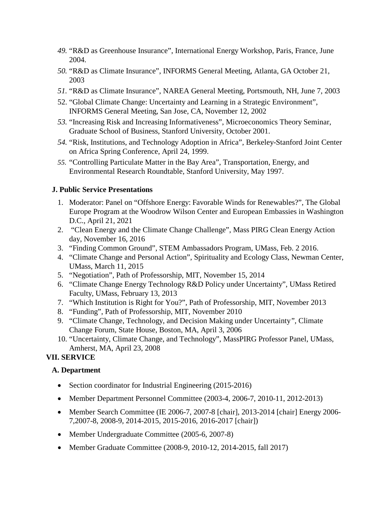- *49.* "R&D as Greenhouse Insurance", International Energy Workshop, Paris, France, June 2004.
- *50.* "R&D as Climate Insurance", INFORMS General Meeting, Atlanta, GA October 21, 2003
- *51.* "R&D as Climate Insurance", NAREA General Meeting, Portsmouth, NH, June 7, 2003
- 52. "Global Climate Change: Uncertainty and Learning in a Strategic Environment", INFORMS General Meeting, San Jose, CA, November 12, 2002
- *53.* "Increasing Risk and Increasing Informativeness", Microeconomics Theory Seminar, Graduate School of Business, Stanford University, October 2001.
- *54.* "Risk, Institutions, and Technology Adoption in Africa", Berkeley-Stanford Joint Center on Africa Spring Conference, April 24, 1999.
- *55.* "Controlling Particulate Matter in the Bay Area", Transportation, Energy, and Environmental Research Roundtable, Stanford University, May 1997.

#### **J. Public Service Presentations**

- 1. Moderator: Panel on "Offshore Energy: Favorable Winds for Renewables?", The Global Europe Program at the Woodrow Wilson Center and European Embassies in Washington D.C., April 21, 2021
- 2. "Clean Energy and the Climate Change Challenge", Mass PIRG Clean Energy Action day, November 16, 2016
- 3. "Finding Common Ground", STEM Ambassadors Program, UMass, Feb. 2 2016.
- 4. "Climate Change and Personal Action", Spirituality and Ecology Class, Newman Center, UMass, March 11, 2015
- 5. "Negotiation", Path of Professorship, MIT, November 15, 2014
- 6. "Climate Change Energy Technology R&D Policy under Uncertainty", UMass Retired Faculty, UMass, February 13, 2013
- 7. "Which Institution is Right for You?", Path of Professorship, MIT, November 2013
- 8. "Funding", Path of Professorship, MIT, November 2010
- 9. "Climate Change, Technology, and Decision Making under Uncertainty*",* Climate Change Forum, State House, Boston, MA, April 3, 2006
- 10. "Uncertainty, Climate Change, and Technology", MassPIRG Professor Panel, UMass, Amherst, MA, April 23, 2008

# **VII. SERVICE**

#### **A. Department**

- Section coordinator for Industrial Engineering (2015-2016)
- Member Department Personnel Committee (2003-4, 2006-7, 2010-11, 2012-2013)
- Member Search Committee (IE 2006-7, 2007-8 [chair], 2013-2014 [chair] Energy 2006-7,2007-8, 2008-9, 2014-2015, 2015-2016, 2016-2017 [chair])
- Member Undergraduate Committee (2005-6, 2007-8)
- Member Graduate Committee (2008-9, 2010-12, 2014-2015, fall 2017)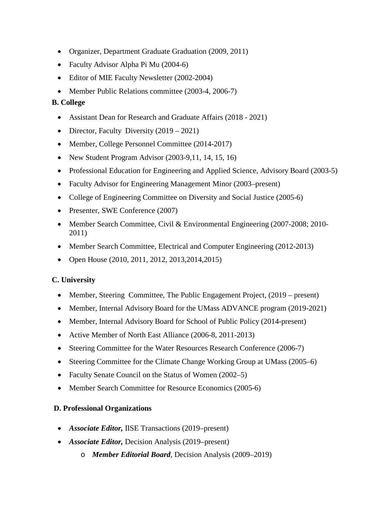- Organizer, Department Graduate Graduation (2009, 2011)
- Faculty Advisor Alpha Pi Mu (2004-6)
- Editor of MIE Faculty Newsletter (2002-2004)
- Member Public Relations committee (2003-4, 2006-7)

### **B. College**

- Assistant Dean for Research and Graduate Affairs (2018 2021)
- Director, Faculty Diversity (2019 2021)
- Member, College Personnel Committee (2014-2017)
- New Student Program Advisor (2003-9,11, 14, 15, 16)
- Professional Education for Engineering and Applied Science, Advisory Board (2003-5)
- Faculty Advisor for Engineering Management Minor (2003–present)
- College of Engineering Committee on Diversity and Social Justice (2005-6)
- Presenter, SWE Conference (2007)
- Member Search Committee, Civil & Environmental Engineering (2007-2008; 2010-2011)
- Member Search Committee, Electrical and Computer Engineering (2012-2013)
- Open House (2010, 2011, 2012, 2013, 2014, 2015)

#### **C. University**

- Member, Steering Committee, The Public Engagement Project, (2019 present)
- Member, Internal Advisory Board for the UMass ADVANCE program (2019-2021)
- Member, Internal Advisory Board for School of Public Policy (2014-present)
- Active Member of North East Alliance (2006-8, 2011-2013)
- Steering Committee for the Water Resources Research Conference (2006-7)
- Steering Committee for the Climate Change Working Group at UMass (2005–6)
- Faculty Senate Council on the Status of Women (2002–5)
- Member Search Committee for Resource Economics (2005-6)

# **D. Professional Organizations**

- *Associate Editor,* IISE Transactions (2019–present)
- *Associate Editor,* Decision Analysis (2019–present)
	- o *Member Editorial Board*, Decision Analysis (2009–2019)